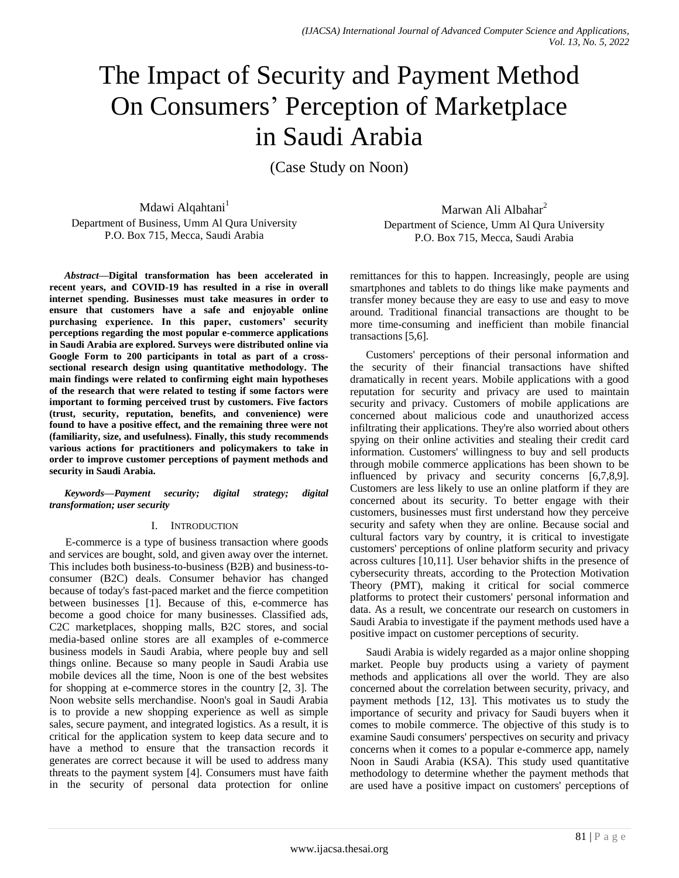# The Impact of Security and Payment Method On Consumers' Perception of Marketplace in Saudi Arabia

(Case Study on Noon)

Mdawi Alqahtani<sup>1</sup> Department of Business, Umm Al Qura University P.O. Box 715, Mecca, Saudi Arabia

*Abstract***—Digital transformation has been accelerated in recent years, and COVID-19 has resulted in a rise in overall internet spending. Businesses must take measures in order to ensure that customers have a safe and enjoyable online purchasing experience. In this paper, customers' security perceptions regarding the most popular e-commerce applications in Saudi Arabia are explored. Surveys were distributed online via Google Form to 200 participants in total as part of a crosssectional research design using quantitative methodology. The main findings were related to confirming eight main hypotheses of the research that were related to testing if some factors were important to forming perceived trust by customers. Five factors (trust, security, reputation, benefits, and convenience) were found to have a positive effect, and the remaining three were not (familiarity, size, and usefulness). Finally, this study recommends various actions for practitioners and policymakers to take in order to improve customer perceptions of payment methods and security in Saudi Arabia.**

## *Keywords—Payment security; digital strategy; digital transformation; user security*

## I. INTRODUCTION

E-commerce is a type of business transaction where goods and services are bought, sold, and given away over the internet. This includes both business-to-business (B2B) and business-toconsumer (B2C) deals. Consumer behavior has changed because of today's fast-paced market and the fierce competition between businesses [1]. Because of this, e-commerce has become a good choice for many businesses. Classified ads, C2C marketplaces, shopping malls, B2C stores, and social media-based online stores are all examples of e-commerce business models in Saudi Arabia, where people buy and sell things online. Because so many people in Saudi Arabia use mobile devices all the time, Noon is one of the best websites for shopping at e-commerce stores in the country [2, 3]. The Noon website sells merchandise. Noon's goal in Saudi Arabia is to provide a new shopping experience as well as simple sales, secure payment, and integrated logistics. As a result, it is critical for the application system to keep data secure and to have a method to ensure that the transaction records it generates are correct because it will be used to address many threats to the payment system [4]. Consumers must have faith in the security of personal data protection for online

Marwan Ali Albahar<sup>2</sup> Department of Science, Umm Al Qura University P.O. Box 715, Mecca, Saudi Arabia

remittances for this to happen. Increasingly, people are using smartphones and tablets to do things like make payments and transfer money because they are easy to use and easy to move around. Traditional financial transactions are thought to be more time-consuming and inefficient than mobile financial transactions [5,6].

Customers' perceptions of their personal information and the security of their financial transactions have shifted dramatically in recent years. Mobile applications with a good reputation for security and privacy are used to maintain security and privacy. Customers of mobile applications are concerned about malicious code and unauthorized access infiltrating their applications. They're also worried about others spying on their online activities and stealing their credit card information. Customers' willingness to buy and sell products through mobile commerce applications has been shown to be influenced by privacy and security concerns [6,7,8,9]. Customers are less likely to use an online platform if they are concerned about its security. To better engage with their customers, businesses must first understand how they perceive security and safety when they are online. Because social and cultural factors vary by country, it is critical to investigate customers' perceptions of online platform security and privacy across cultures [10,11]. User behavior shifts in the presence of cybersecurity threats, according to the Protection Motivation Theory (PMT), making it critical for social commerce platforms to protect their customers' personal information and data. As a result, we concentrate our research on customers in Saudi Arabia to investigate if the payment methods used have a positive impact on customer perceptions of security.

Saudi Arabia is widely regarded as a major online shopping market. People buy products using a variety of payment methods and applications all over the world. They are also concerned about the correlation between security, privacy, and payment methods [12, 13]. This motivates us to study the importance of security and privacy for Saudi buyers when it comes to mobile commerce. The objective of this study is to examine Saudi consumers' perspectives on security and privacy concerns when it comes to a popular e-commerce app, namely Noon in Saudi Arabia (KSA). This study used quantitative methodology to determine whether the payment methods that are used have a positive impact on customers' perceptions of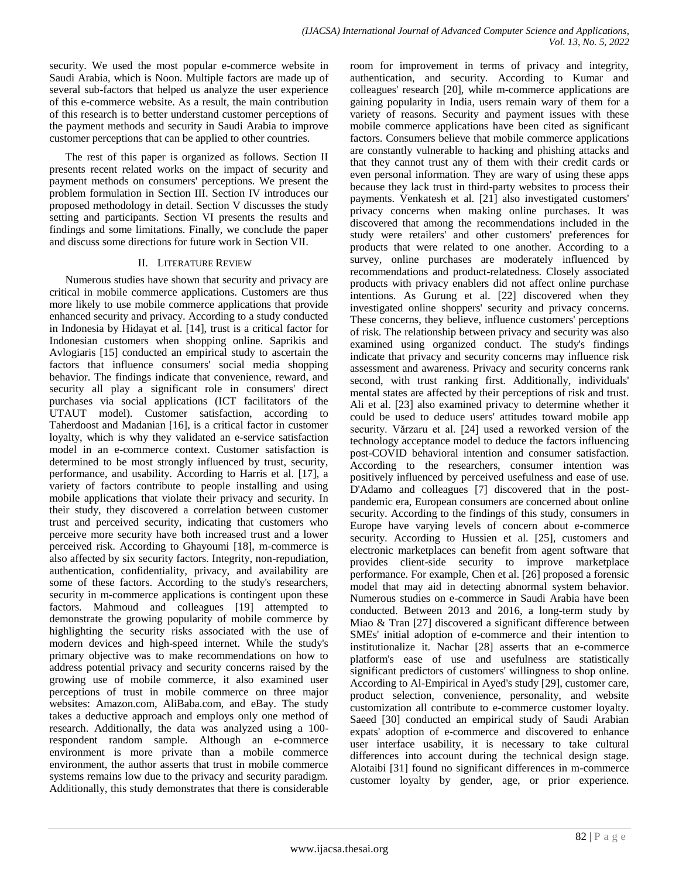security. We used the most popular e-commerce website in Saudi Arabia, which is Noon. Multiple factors are made up of several sub-factors that helped us analyze the user experience of this e-commerce website. As a result, the main contribution of this research is to better understand customer perceptions of the payment methods and security in Saudi Arabia to improve customer perceptions that can be applied to other countries.

The rest of this paper is organized as follows. Section II presents recent related works on the impact of security and payment methods on consumers' perceptions. We present the problem formulation in Section III. Section IV introduces our proposed methodology in detail. Section V discusses the study setting and participants. Section VI presents the results and findings and some limitations. Finally, we conclude the paper and discuss some directions for future work in Section VII.

# II. LITERATURE REVIEW

Numerous studies have shown that security and privacy are critical in mobile commerce applications. Customers are thus more likely to use mobile commerce applications that provide enhanced security and privacy. According to a study conducted in Indonesia by Hidayat et al. [14], trust is a critical factor for Indonesian customers when shopping online. Saprikis and Avlogiaris [15] conducted an empirical study to ascertain the factors that influence consumers' social media shopping behavior. The findings indicate that convenience, reward, and security all play a significant role in consumers' direct purchases via social applications (ICT facilitators of the UTAUT model). Customer satisfaction, according to Taherdoost and Madanian [16], is a critical factor in customer loyalty, which is why they validated an e-service satisfaction model in an e-commerce context. Customer satisfaction is determined to be most strongly influenced by trust, security, performance, and usability. According to Harris et al. [17], a variety of factors contribute to people installing and using mobile applications that violate their privacy and security. In their study, they discovered a correlation between customer trust and perceived security, indicating that customers who perceive more security have both increased trust and a lower perceived risk. According to Ghayoumi [18], m-commerce is also affected by six security factors. Integrity, non-repudiation, authentication, confidentiality, privacy, and availability are some of these factors. According to the study's researchers, security in m-commerce applications is contingent upon these factors. Mahmoud and colleagues [19] attempted to demonstrate the growing popularity of mobile commerce by highlighting the security risks associated with the use of modern devices and high-speed internet. While the study's primary objective was to make recommendations on how to address potential privacy and security concerns raised by the growing use of mobile commerce, it also examined user perceptions of trust in mobile commerce on three major websites: Amazon.com, AliBaba.com, and eBay. The study takes a deductive approach and employs only one method of research. Additionally, the data was analyzed using a 100 respondent random sample. Although an e-commerce environment is more private than a mobile commerce environment, the author asserts that trust in mobile commerce systems remains low due to the privacy and security paradigm. Additionally, this study demonstrates that there is considerable

room for improvement in terms of privacy and integrity, authentication, and security. According to Kumar and colleagues' research [20], while m-commerce applications are gaining popularity in India, users remain wary of them for a variety of reasons. Security and payment issues with these mobile commerce applications have been cited as significant factors. Consumers believe that mobile commerce applications are constantly vulnerable to hacking and phishing attacks and that they cannot trust any of them with their credit cards or even personal information. They are wary of using these apps because they lack trust in third-party websites to process their payments. Venkatesh et al. [21] also investigated customers' privacy concerns when making online purchases. It was discovered that among the recommendations included in the study were retailers' and other customers' preferences for products that were related to one another. According to a survey, online purchases are moderately influenced by recommendations and product-relatedness. Closely associated products with privacy enablers did not affect online purchase intentions. As Gurung et al. [22] discovered when they investigated online shoppers' security and privacy concerns. These concerns, they believe, influence customers' perceptions of risk. The relationship between privacy and security was also examined using organized conduct. The study's findings indicate that privacy and security concerns may influence risk assessment and awareness. Privacy and security concerns rank second, with trust ranking first. Additionally, individuals' mental states are affected by their perceptions of risk and trust. Ali et al. [23] also examined privacy to determine whether it could be used to deduce users' attitudes toward mobile app security. Vărzaru et al. [24] used a reworked version of the technology acceptance model to deduce the factors influencing post-COVID behavioral intention and consumer satisfaction. According to the researchers, consumer intention was positively influenced by perceived usefulness and ease of use. D'Adamo and colleagues [7] discovered that in the postpandemic era, European consumers are concerned about online security. According to the findings of this study, consumers in Europe have varying levels of concern about e-commerce security. According to Hussien et al. [25], customers and electronic marketplaces can benefit from agent software that provides client-side security to improve marketplace performance. For example, Chen et al. [26] proposed a forensic model that may aid in detecting abnormal system behavior. Numerous studies on e-commerce in Saudi Arabia have been conducted. Between 2013 and 2016, a long-term study by Miao & Tran [27] discovered a significant difference between SMEs' initial adoption of e-commerce and their intention to institutionalize it. Nachar [28] asserts that an e-commerce platform's ease of use and usefulness are statistically significant predictors of customers' willingness to shop online. According to Al-Empirical in Ayed's study [29], customer care, product selection, convenience, personality, and website customization all contribute to e-commerce customer loyalty. Saeed [30] conducted an empirical study of Saudi Arabian expats' adoption of e-commerce and discovered to enhance user interface usability, it is necessary to take cultural differences into account during the technical design stage. Alotaibi [31] found no significant differences in m-commerce customer loyalty by gender, age, or prior experience.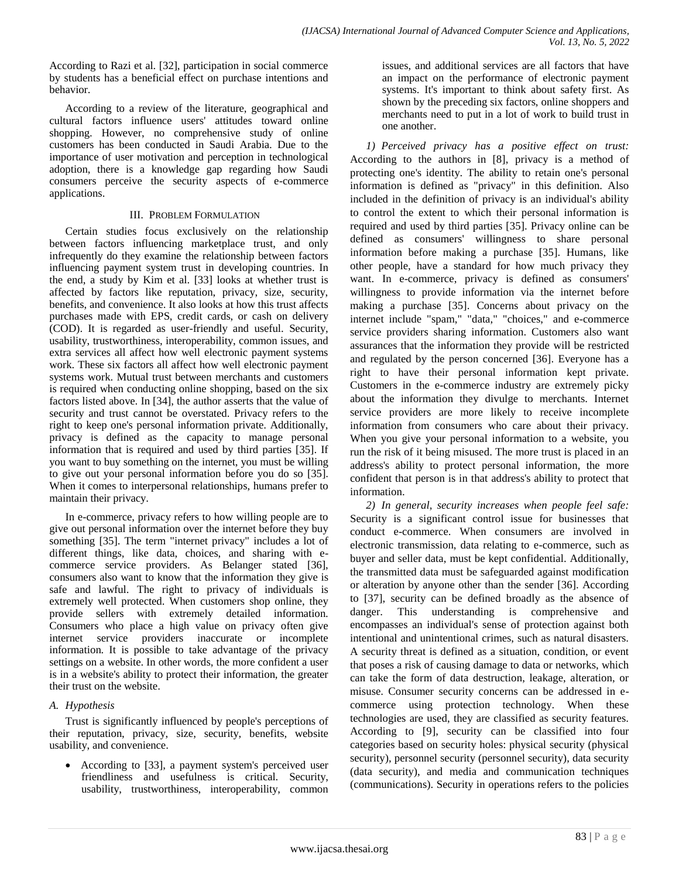According to Razi et al. [32], participation in social commerce by students has a beneficial effect on purchase intentions and behavior.

According to a review of the literature, geographical and cultural factors influence users' attitudes toward online shopping. However, no comprehensive study of online customers has been conducted in Saudi Arabia. Due to the importance of user motivation and perception in technological adoption, there is a knowledge gap regarding how Saudi consumers perceive the security aspects of e-commerce applications.

# III. PROBLEM FORMULATION

Certain studies focus exclusively on the relationship between factors influencing marketplace trust, and only infrequently do they examine the relationship between factors influencing payment system trust in developing countries. In the end, a study by Kim et al. [33] looks at whether trust is affected by factors like reputation, privacy, size, security, benefits, and convenience. It also looks at how this trust affects purchases made with EPS, credit cards, or cash on delivery (COD). It is regarded as user-friendly and useful. Security, usability, trustworthiness, interoperability, common issues, and extra services all affect how well electronic payment systems work. These six factors all affect how well electronic payment systems work. Mutual trust between merchants and customers is required when conducting online shopping, based on the six factors listed above. In [34], the author asserts that the value of security and trust cannot be overstated. Privacy refers to the right to keep one's personal information private. Additionally, privacy is defined as the capacity to manage personal information that is required and used by third parties [35]. If you want to buy something on the internet, you must be willing to give out your personal information before you do so [35]. When it comes to interpersonal relationships, humans prefer to maintain their privacy.

In e-commerce, privacy refers to how willing people are to give out personal information over the internet before they buy something [35]. The term "internet privacy" includes a lot of different things, like data, choices, and sharing with ecommerce service providers. As Belanger stated [36], consumers also want to know that the information they give is safe and lawful. The right to privacy of individuals is extremely well protected. When customers shop online, they provide sellers with extremely detailed information. Consumers who place a high value on privacy often give internet service providers inaccurate or incomplete information. It is possible to take advantage of the privacy settings on a website. In other words, the more confident a user is in a website's ability to protect their information, the greater their trust on the website.

# *A. Hypothesis*

Trust is significantly influenced by people's perceptions of their reputation, privacy, size, security, benefits, website usability, and convenience.

 According to [33], a payment system's perceived user friendliness and usefulness is critical. Security, usability, trustworthiness, interoperability, common issues, and additional services are all factors that have an impact on the performance of electronic payment systems. It's important to think about safety first. As shown by the preceding six factors, online shoppers and merchants need to put in a lot of work to build trust in one another.

*1) Perceived privacy has a positive effect on trust:* According to the authors in [8], privacy is a method of protecting one's identity. The ability to retain one's personal information is defined as "privacy" in this definition. Also included in the definition of privacy is an individual's ability to control the extent to which their personal information is required and used by third parties [35]. Privacy online can be defined as consumers' willingness to share personal information before making a purchase [35]. Humans, like other people, have a standard for how much privacy they want. In e-commerce, privacy is defined as consumers' willingness to provide information via the internet before making a purchase [35]. Concerns about privacy on the internet include "spam," "data," "choices," and e-commerce service providers sharing information. Customers also want assurances that the information they provide will be restricted and regulated by the person concerned [36]. Everyone has a right to have their personal information kept private. Customers in the e-commerce industry are extremely picky about the information they divulge to merchants. Internet service providers are more likely to receive incomplete information from consumers who care about their privacy. When you give your personal information to a website, you run the risk of it being misused. The more trust is placed in an address's ability to protect personal information, the more confident that person is in that address's ability to protect that information.

*2) In general, security increases when people feel safe:* Security is a significant control issue for businesses that conduct e-commerce. When consumers are involved in electronic transmission, data relating to e-commerce, such as buyer and seller data, must be kept confidential. Additionally, the transmitted data must be safeguarded against modification or alteration by anyone other than the sender [36]. According to [37], security can be defined broadly as the absence of danger. This understanding is comprehensive and encompasses an individual's sense of protection against both intentional and unintentional crimes, such as natural disasters. A security threat is defined as a situation, condition, or event that poses a risk of causing damage to data or networks, which can take the form of data destruction, leakage, alteration, or misuse. Consumer security concerns can be addressed in ecommerce using protection technology. When these technologies are used, they are classified as security features. According to [9], security can be classified into four categories based on security holes: physical security (physical security), personnel security (personnel security), data security (data security), and media and communication techniques (communications). Security in operations refers to the policies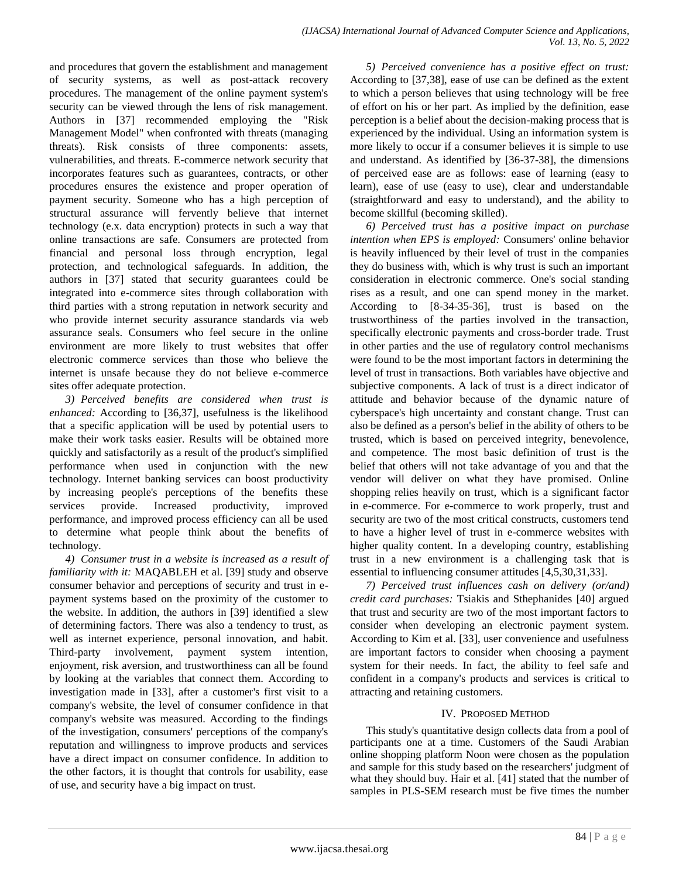and procedures that govern the establishment and management of security systems, as well as post-attack recovery procedures. The management of the online payment system's security can be viewed through the lens of risk management. Authors in [37] recommended employing the "Risk Management Model" when confronted with threats (managing threats). Risk consists of three components: assets, vulnerabilities, and threats. E-commerce network security that incorporates features such as guarantees, contracts, or other procedures ensures the existence and proper operation of payment security. Someone who has a high perception of structural assurance will fervently believe that internet technology (e.x. data encryption) protects in such a way that online transactions are safe. Consumers are protected from financial and personal loss through encryption, legal protection, and technological safeguards. In addition, the authors in [37] stated that security guarantees could be integrated into e-commerce sites through collaboration with third parties with a strong reputation in network security and who provide internet security assurance standards via web assurance seals. Consumers who feel secure in the online environment are more likely to trust websites that offer electronic commerce services than those who believe the internet is unsafe because they do not believe e-commerce sites offer adequate protection.

*3) Perceived benefits are considered when trust is enhanced:* According to [36,37], usefulness is the likelihood that a specific application will be used by potential users to make their work tasks easier. Results will be obtained more quickly and satisfactorily as a result of the product's simplified performance when used in conjunction with the new technology. Internet banking services can boost productivity by increasing people's perceptions of the benefits these services provide. Increased productivity, improved performance, and improved process efficiency can all be used to determine what people think about the benefits of technology.

*4) Consumer trust in a website is increased as a result of familiarity with it:* MAQABLEH et al. [39] study and observe consumer behavior and perceptions of security and trust in epayment systems based on the proximity of the customer to the website. In addition, the authors in [39] identified a slew of determining factors. There was also a tendency to trust, as well as internet experience, personal innovation, and habit. Third-party involvement, payment system intention, enjoyment, risk aversion, and trustworthiness can all be found by looking at the variables that connect them. According to investigation made in [33], after a customer's first visit to a company's website, the level of consumer confidence in that company's website was measured. According to the findings of the investigation, consumers' perceptions of the company's reputation and willingness to improve products and services have a direct impact on consumer confidence. In addition to the other factors, it is thought that controls for usability, ease of use, and security have a big impact on trust.

*5) Perceived convenience has a positive effect on trust:* According to [37,38], ease of use can be defined as the extent to which a person believes that using technology will be free of effort on his or her part. As implied by the definition, ease perception is a belief about the decision-making process that is experienced by the individual. Using an information system is more likely to occur if a consumer believes it is simple to use and understand. As identified by [36-37-38], the dimensions of perceived ease are as follows: ease of learning (easy to learn), ease of use (easy to use), clear and understandable (straightforward and easy to understand), and the ability to become skillful (becoming skilled).

*6) Perceived trust has a positive impact on purchase intention when EPS is employed:* Consumers' online behavior is heavily influenced by their level of trust in the companies they do business with, which is why trust is such an important consideration in electronic commerce. One's social standing rises as a result, and one can spend money in the market. According to [8-34-35-36], trust is based on the trustworthiness of the parties involved in the transaction, specifically electronic payments and cross-border trade. Trust in other parties and the use of regulatory control mechanisms were found to be the most important factors in determining the level of trust in transactions. Both variables have objective and subjective components. A lack of trust is a direct indicator of attitude and behavior because of the dynamic nature of cyberspace's high uncertainty and constant change. Trust can also be defined as a person's belief in the ability of others to be trusted, which is based on perceived integrity, benevolence, and competence. The most basic definition of trust is the belief that others will not take advantage of you and that the vendor will deliver on what they have promised. Online shopping relies heavily on trust, which is a significant factor in e-commerce. For e-commerce to work properly, trust and security are two of the most critical constructs, customers tend to have a higher level of trust in e-commerce websites with higher quality content. In a developing country, establishing trust in a new environment is a challenging task that is essential to influencing consumer attitudes [4,5,30,31,33].

*7) Perceived trust influences cash on delivery (or/and) credit card purchases:* Tsiakis and Sthephanides [40] argued that trust and security are two of the most important factors to consider when developing an electronic payment system. According to Kim et al. [33], user convenience and usefulness are important factors to consider when choosing a payment system for their needs. In fact, the ability to feel safe and confident in a company's products and services is critical to attracting and retaining customers.

# IV. PROPOSED METHOD

This study's quantitative design collects data from a pool of participants one at a time. Customers of the Saudi Arabian online shopping platform Noon were chosen as the population and sample for this study based on the researchers' judgment of what they should buy. Hair et al. [41] stated that the number of samples in PLS-SEM research must be five times the number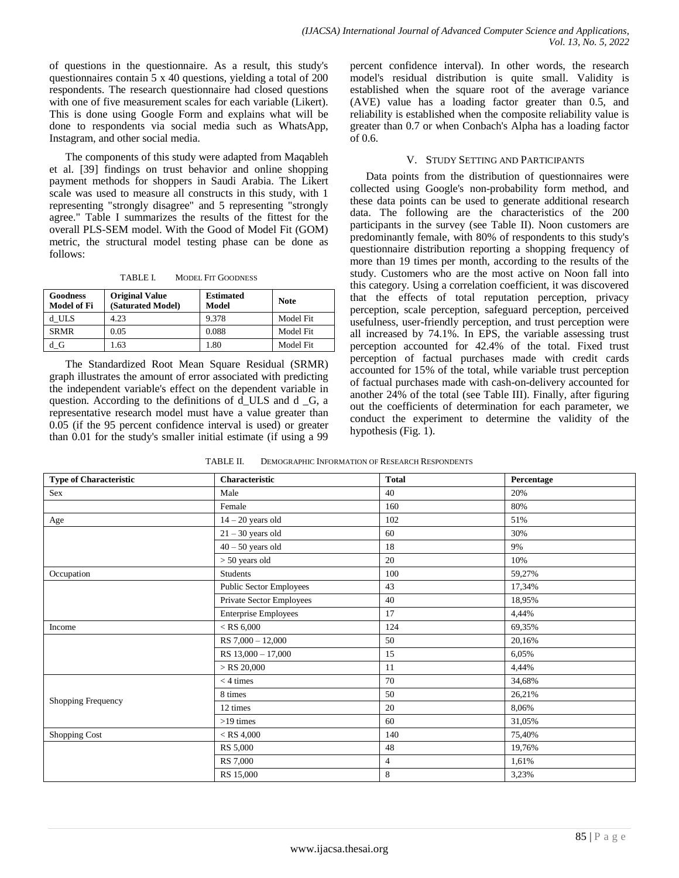of questions in the questionnaire. As a result, this study's questionnaires contain 5 x 40 questions, yielding a total of 200 respondents. The research questionnaire had closed questions with one of five measurement scales for each variable (Likert). This is done using Google Form and explains what will be done to respondents via social media such as WhatsApp, Instagram, and other social media.

The components of this study were adapted from Maqableh et al. [39] findings on trust behavior and online shopping payment methods for shoppers in Saudi Arabia. The Likert scale was used to measure all constructs in this study, with 1 representing "strongly disagree" and 5 representing "strongly agree." Table I summarizes the results of the fittest for the overall PLS-SEM model. With the Good of Model Fit (GOM) metric, the structural model testing phase can be done as follows:

TABLE I. MODEL FIT GOODNESS

| <b>Goodness</b><br><b>Model of Fi</b> | <b>Original Value</b><br>(Saturated Model) | <b>Estimated</b><br>Model | <b>Note</b> |
|---------------------------------------|--------------------------------------------|---------------------------|-------------|
| d ULS                                 | 4.23                                       | 9.378                     | Model Fit   |
| <b>SRMR</b>                           | 0.05                                       | 0.088                     | Model Fit   |
| d G                                   | .63                                        | 1.80                      | Model Fit   |

The Standardized Root Mean Square Residual (SRMR) graph illustrates the amount of error associated with predicting the independent variable's effect on the dependent variable in question. According to the definitions of d\_ULS and d \_G, a representative research model must have a value greater than 0.05 (if the 95 percent confidence interval is used) or greater than 0.01 for the study's smaller initial estimate (if using a 99

percent confidence interval). In other words, the research model's residual distribution is quite small. Validity is established when the square root of the average variance (AVE) value has a loading factor greater than 0.5, and reliability is established when the composite reliability value is greater than 0.7 or when Conbach's Alpha has a loading factor of 0.6.

## V. STUDY SETTING AND PARTICIPANTS

Data points from the distribution of questionnaires were collected using Google's non-probability form method, and these data points can be used to generate additional research data. The following are the characteristics of the 200 participants in the survey (see Table II). Noon customers are predominantly female, with 80% of respondents to this study's questionnaire distribution reporting a shopping frequency of more than 19 times per month, according to the results of the study. Customers who are the most active on Noon fall into this category. Using a correlation coefficient, it was discovered that the effects of total reputation perception, privacy perception, scale perception, safeguard perception, perceived usefulness, user-friendly perception, and trust perception were all increased by 74.1%. In EPS, the variable assessing trust perception accounted for 42.4% of the total. Fixed trust perception of factual purchases made with credit cards accounted for 15% of the total, while variable trust perception of factual purchases made with cash-on-delivery accounted for another 24% of the total (see Table III). Finally, after figuring out the coefficients of determination for each parameter, we conduct the experiment to determine the validity of the hypothesis (Fig. 1).

| DEMOGRAPHIC INFORMATION OF RESEARCH RESPONDENTS<br>TABLE II. |
|--------------------------------------------------------------|
|--------------------------------------------------------------|

| <b>Type of Characteristic</b> | Characteristic              | <b>Total</b>   | Percentage |
|-------------------------------|-----------------------------|----------------|------------|
| Sex                           | Male                        | 40             | 20%        |
|                               | Female                      | 160            | 80%        |
| Age                           | $14 - 20$ years old         | 102            | 51%        |
|                               | $21 - 30$ years old         | 60             | 30%        |
|                               | $40 - 50$ years old         | 18             | 9%         |
|                               | $> 50$ years old            | 20             | 10%        |
| Occupation                    | Students                    | 100            | 59,27%     |
|                               | Public Sector Employees     | 43             | 17,34%     |
|                               | Private Sector Employees    | 40             | 18,95%     |
|                               | <b>Enterprise Employees</b> | 17             | 4,44%      |
| Income                        | $<$ RS 6,000 $\,$           | 124            | 69,35%     |
|                               | $RS$ 7,000 - 12,000         | 50             | 20,16%     |
|                               | RS 13,000 - 17,000          | 15             | 6,05%      |
|                               | $>$ RS 20,000               | 11             | 4,44%      |
|                               | $<$ 4 times                 | 70             | 34,68%     |
| Shopping Frequency            | 8 times                     | 50             | 26,21%     |
|                               | 12 times                    | 20             | 8,06%      |
|                               | $>19$ times                 | 60             | 31,05%     |
| Shopping Cost                 | $<$ RS 4,000                | 140            | 75,40%     |
|                               | RS 5,000                    | 48             | 19,76%     |
|                               | RS 7,000                    | $\overline{4}$ | 1,61%      |
|                               | RS 15,000                   | $\,8\,$        | 3,23%      |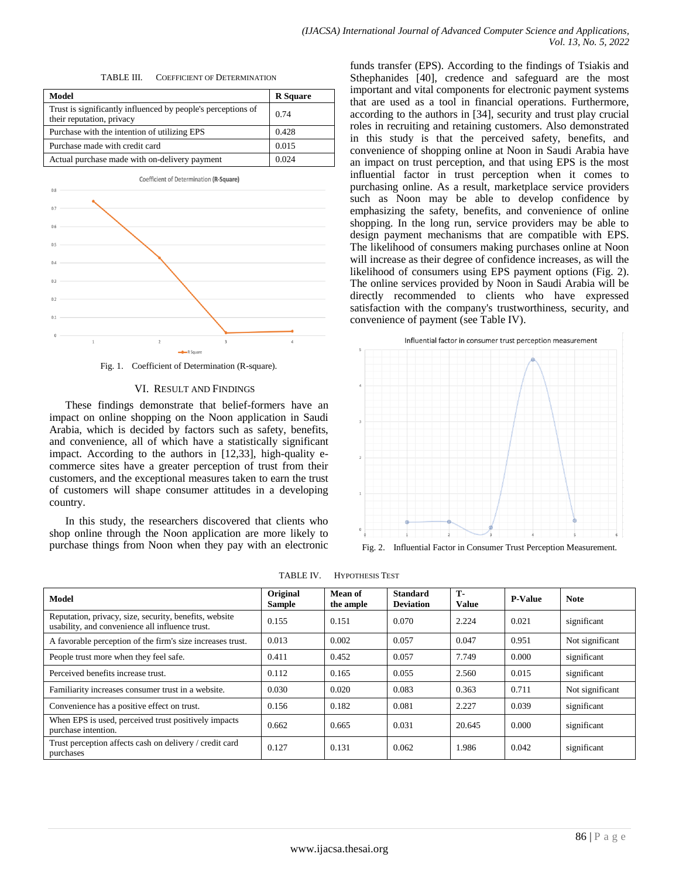TABLE III. COEFFICIENT OF DETERMINATION

| Model                                                                                     | <b>R</b> Square |
|-------------------------------------------------------------------------------------------|-----------------|
| Trust is significantly influenced by people's perceptions of<br>their reputation, privacy | 0.74            |
| Purchase with the intention of utilizing EPS                                              | 0.428           |
| Purchase made with credit card                                                            | 0.015           |
| Actual purchase made with on-delivery payment                                             | 0.024           |

Coefficient of Determination (R-Square)

Fig. 1. Coefficient of Determination (R-square).

### VI. RESULT AND FINDINGS

These findings demonstrate that belief-formers have an impact on online shopping on the Noon application in Saudi Arabia, which is decided by factors such as safety, benefits, and convenience, all of which have a statistically significant impact. According to the authors in [12,33], high-quality ecommerce sites have a greater perception of trust from their customers, and the exceptional measures taken to earn the trust of customers will shape consumer attitudes in a developing country.

In this study, the researchers discovered that clients who shop online through the Noon application are more likely to purchase things from Noon when they pay with an electronic funds transfer (EPS). According to the findings of Tsiakis and Sthephanides [40], credence and safeguard are the most important and vital components for electronic payment systems that are used as a tool in financial operations. Furthermore, according to the authors in [34], security and trust play crucial roles in recruiting and retaining customers. Also demonstrated in this study is that the perceived safety, benefits, and convenience of shopping online at Noon in Saudi Arabia have an impact on trust perception, and that using EPS is the most influential factor in trust perception when it comes to purchasing online. As a result, marketplace service providers such as Noon may be able to develop confidence by emphasizing the safety, benefits, and convenience of online shopping. In the long run, service providers may be able to design payment mechanisms that are compatible with EPS. The likelihood of consumers making purchases online at Noon will increase as their degree of confidence increases, as will the likelihood of consumers using EPS payment options (Fig. 2). The online services provided by Noon in Saudi Arabia will be directly recommended to clients who have expressed satisfaction with the company's trustworthiness, security, and convenience of payment (see Table IV).



Fig. 2. Influential Factor in Consumer Trust Perception Measurement.

| Model                                                                                                     | Original<br><b>Sample</b> | Mean of<br>the ample | <b>Standard</b><br><b>Deviation</b> | <b>T-</b><br><b>Value</b> | <b>P-Value</b> | <b>Note</b>     |
|-----------------------------------------------------------------------------------------------------------|---------------------------|----------------------|-------------------------------------|---------------------------|----------------|-----------------|
| Reputation, privacy, size, security, benefits, website<br>usability, and convenience all influence trust. | 0.155                     | 0.151                | 0.070                               | 2.224                     | 0.021          | significant     |
| A favorable perception of the firm's size increases trust.                                                | 0.013                     | 0.002                | 0.057                               | 0.047                     | 0.951          | Not significant |
| People trust more when they feel safe.                                                                    | 0.411                     | 0.452                | 0.057                               | 7.749                     | 0.000          | significant     |
| Perceived benefits increase trust.                                                                        | 0.112                     | 0.165                | 0.055                               | 2.560                     | 0.015          | significant     |
| Familiarity increases consumer trust in a website.                                                        | 0.030                     | 0.020                | 0.083                               | 0.363                     | 0.711          | Not significant |
| Convenience has a positive effect on trust.                                                               | 0.156                     | 0.182                | 0.081                               | 2.227                     | 0.039          | significant     |
| When EPS is used, perceived trust positively impacts<br>purchase intention.                               | 0.662                     | 0.665                | 0.031                               | 20.645                    | 0.000          | significant     |
| Trust perception affects cash on delivery / credit card<br>purchases                                      | 0.127                     | 0.131                | 0.062                               | 1.986                     | 0.042          | significant     |

TABLE IV. HYPOTHESIS TEST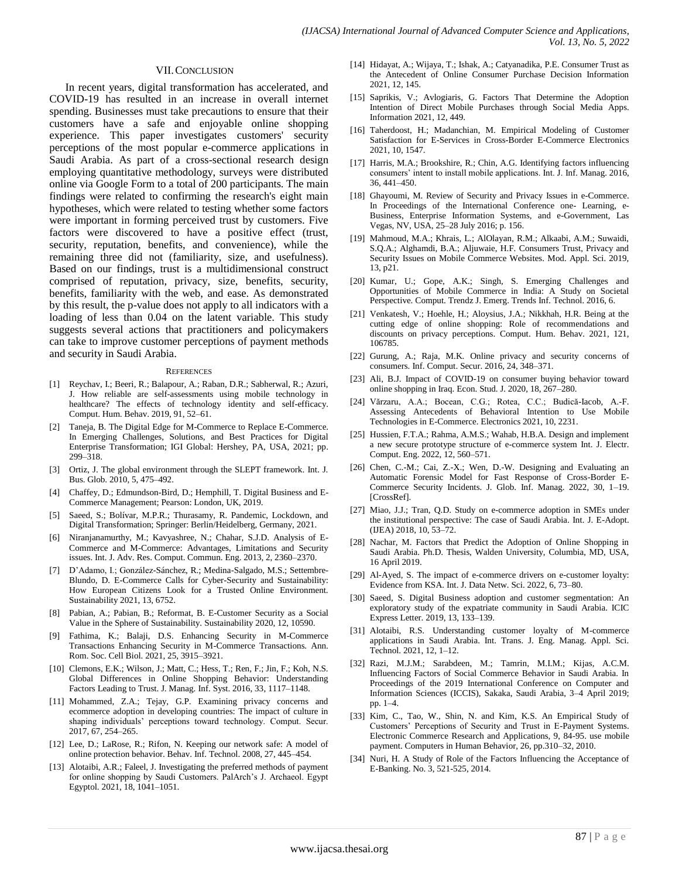#### VII.CONCLUSION

In recent years, digital transformation has accelerated, and COVID-19 has resulted in an increase in overall internet spending. Businesses must take precautions to ensure that their customers have a safe and enjoyable online shopping experience. This paper investigates customers' security perceptions of the most popular e-commerce applications in Saudi Arabia. As part of a cross-sectional research design employing quantitative methodology, surveys were distributed online via Google Form to a total of 200 participants. The main findings were related to confirming the research's eight main hypotheses, which were related to testing whether some factors were important in forming perceived trust by customers. Five factors were discovered to have a positive effect (trust, security, reputation, benefits, and convenience), while the remaining three did not (familiarity, size, and usefulness). Based on our findings, trust is a multidimensional construct comprised of reputation, privacy, size, benefits, security, benefits, familiarity with the web, and ease. As demonstrated by this result, the p-value does not apply to all indicators with a loading of less than 0.04 on the latent variable. This study suggests several actions that practitioners and policymakers can take to improve customer perceptions of payment methods and security in Saudi Arabia.

#### **REFERENCES**

- [1] Reychav, I.; Beeri, R.; Balapour, A.; Raban, D.R.; Sabherwal, R.; Azuri, J. How reliable are self-assessments using mobile technology in healthcare? The effects of technology identity and self-efficacy. Comput. Hum. Behav. 2019, 91, 52–61.
- [2] Taneja, B. The Digital Edge for M-Commerce to Replace E-Commerce. In Emerging Challenges, Solutions, and Best Practices for Digital Enterprise Transformation; IGI Global: Hershey, PA, USA, 2021; pp. 299–318.
- [3] Ortiz, J. The global environment through the SLEPT framework. Int. J. Bus. Glob. 2010, 5, 475–492.
- [4] Chaffey, D.; Edmundson-Bird, D.; Hemphill, T. Digital Business and E-Commerce Management; Pearson: London, UK, 2019.
- [5] Saeed, S.; Bolívar, M.P.R.; Thurasamy, R. Pandemic, Lockdown, and Digital Transformation; Springer: Berlin/Heidelberg, Germany, 2021.
- [6] Niranjanamurthy, M.; Kavyashree, N.; Chahar, S.J.D. Analysis of E-Commerce and M-Commerce: Advantages, Limitations and Security issues. Int. J. Adv. Res. Comput. Commun. Eng. 2013, 2, 2360–2370.
- [7] D'Adamo, I.; González-Sánchez, R.; Medina-Salgado, M.S.; Settembre-Blundo, D. E-Commerce Calls for Cyber-Security and Sustainability: How European Citizens Look for a Trusted Online Environment. Sustainability 2021, 13, 6752.
- [8] Pabian, A.; Pabian, B.; Reformat, B. E-Customer Security as a Social Value in the Sphere of Sustainability. Sustainability 2020, 12, 10590.
- [9] Fathima, K.; Balaji, D.S. Enhancing Security in M-Commerce Transactions Enhancing Security in M-Commerce Transactions. Ann. Rom. Soc. Cell Biol. 2021, 25, 3915–3921.
- [10] Clemons, E.K.; Wilson, J.; Matt, C.; Hess, T.; Ren, F.; Jin, F.; Koh, N.S. Global Differences in Online Shopping Behavior: Understanding Factors Leading to Trust. J. Manag. Inf. Syst. 2016, 33, 1117–1148.
- [11] Mohammed, Z.A.; Tejay, G.P. Examining privacy concerns and ecommerce adoption in developing countries: The impact of culture in shaping individuals' perceptions toward technology. Comput. Secur. 2017, 67, 254–265.
- [12] Lee, D.; LaRose, R.; Rifon, N. Keeping our network safe: A model of online protection behavior. Behav. Inf. Technol. 2008, 27, 445–454.
- [13] Alotaibi, A.R.; Faleel, J. Investigating the preferred methods of payment for online shopping by Saudi Customers. PalArch's J. Archaeol. Egypt Egyptol. 2021, 18, 1041–1051.
- [14] Hidayat, A.; Wijaya, T.; Ishak, A.; Catyanadika, P.E. Consumer Trust as the Antecedent of Online Consumer Purchase Decision Information 2021, 12, 145.
- [15] Saprikis, V.; Avlogiaris, G. Factors That Determine the Adoption Intention of Direct Mobile Purchases through Social Media Apps. Information 2021, 12, 449.
- [16] Taherdoost, H.; Madanchian, M. Empirical Modeling of Customer Satisfaction for E-Services in Cross-Border E-Commerce Electronics 2021, 10, 1547.
- [17] Harris, M.A.; Brookshire, R.; Chin, A.G. Identifying factors influencing consumers' intent to install mobile applications. Int. J. Inf. Manag. 2016, 36, 441–450.
- [18] Ghayoumi, M. Review of Security and Privacy Issues in e-Commerce. In Proceedings of the International Conference one- Learning, e-Business, Enterprise Information Systems, and e-Government, Las Vegas, NV, USA, 25–28 July 2016; p. 156.
- [19] Mahmoud, M.A.; Khrais, L.; AlOlayan, R.M.; Alkaabi, A.M.; Suwaidi, S.Q.A.; Alghamdi, B.A.; Aljuwaie, H.F. Consumers Trust, Privacy and Security Issues on Mobile Commerce Websites. Mod. Appl. Sci. 2019, 13, p21.
- [20] Kumar, U.; Gope, A.K.; Singh, S. Emerging Challenges and Opportunities of Mobile Commerce in India: A Study on Societal Perspective. Comput. Trendz J. Emerg. Trends Inf. Technol. 2016, 6.
- [21] Venkatesh, V.; Hoehle, H.; Aloysius, J.A.; Nikkhah, H.R. Being at the cutting edge of online shopping: Role of recommendations and discounts on privacy perceptions. Comput. Hum. Behav. 2021, 121, 106785.
- [22] Gurung, A.; Raja, M.K. Online privacy and security concerns of consumers. Inf. Comput. Secur. 2016, 24, 348–371.
- [23] Ali, B.J. Impact of COVID-19 on consumer buying behavior toward online shopping in Iraq. Econ. Stud. J. 2020, 18, 267–280.
- [24] Vărzaru, A.A.; Bocean, C.G.; Rotea, C.C.; Budică-Iacob, A.-F. Assessing Antecedents of Behavioral Intention to Use Mobile Technologies in E-Commerce. Electronics 2021, 10, 2231.
- [25] Hussien, F.T.A.; Rahma, A.M.S.; Wahab, H.B.A. Design and implement a new secure prototype structure of e-commerce system Int. J. Electr. Comput. Eng. 2022, 12, 560–571.
- [26] Chen, C.-M.; Cai, Z.-X.; Wen, D.-W. Designing and Evaluating an Automatic Forensic Model for Fast Response of Cross-Border E-Commerce Security Incidents. J. Glob. Inf. Manag. 2022, 30, 1–19. [CrossRef].
- [27] Miao, J.J.; Tran, Q.D. Study on e-commerce adoption in SMEs under the institutional perspective: The case of Saudi Arabia. Int. J. E-Adopt. (IJEA) 2018, 10, 53–72.
- [28] Nachar, M. Factors that Predict the Adoption of Online Shopping in Saudi Arabia. Ph.D. Thesis, Walden University, Columbia, MD, USA, 16 April 2019.
- [29] Al-Ayed, S. The impact of e-commerce drivers on e-customer loyalty: Evidence from KSA. Int. J. Data Netw. Sci. 2022, 6, 73–80.
- [30] Saeed, S. Digital Business adoption and customer segmentation: An exploratory study of the expatriate community in Saudi Arabia. ICIC Express Letter. 2019, 13, 133–139.
- [31] Alotaibi, R.S. Understanding customer loyalty of M-commerce applications in Saudi Arabia. Int. Trans. J. Eng. Manag. Appl. Sci. Technol. 2021, 12, 1–12.
- [32] Razi, M.J.M.; Sarabdeen, M.; Tamrin, M.I.M.; Kijas, A.C.M. Influencing Factors of Social Commerce Behavior in Saudi Arabia. In Proceedings of the 2019 International Conference on Computer and Information Sciences (ICCIS), Sakaka, Saudi Arabia, 3–4 April 2019; pp. 1–4.
- [33] Kim, C., Tao, W., Shin, N. and Kim, K.S. An Empirical Study of Customers' Perceptions of Security and Trust in E-Payment Systems. Electronic Commerce Research and Applications, 9, 84-95. use mobile payment. Computers in Human Behavior, 26, pp.310–32, 2010.
- [34] Nuri, H. A Study of Role of the Factors Influencing the Acceptance of E-Banking. No. 3, 521-525, 2014.